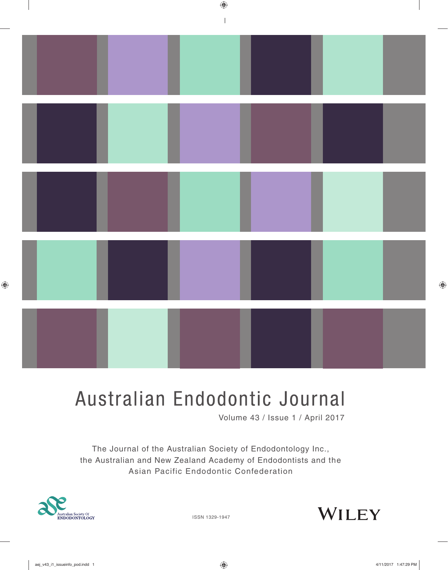

# Australian Endodontic Journal

Volume 43 / Issue 1 / April 2017

The Journal of the Australian Society of Endodontology Inc., the Australian and New Zealand Academy of Endodontists and the Asian Pacific Endodontic Confederation